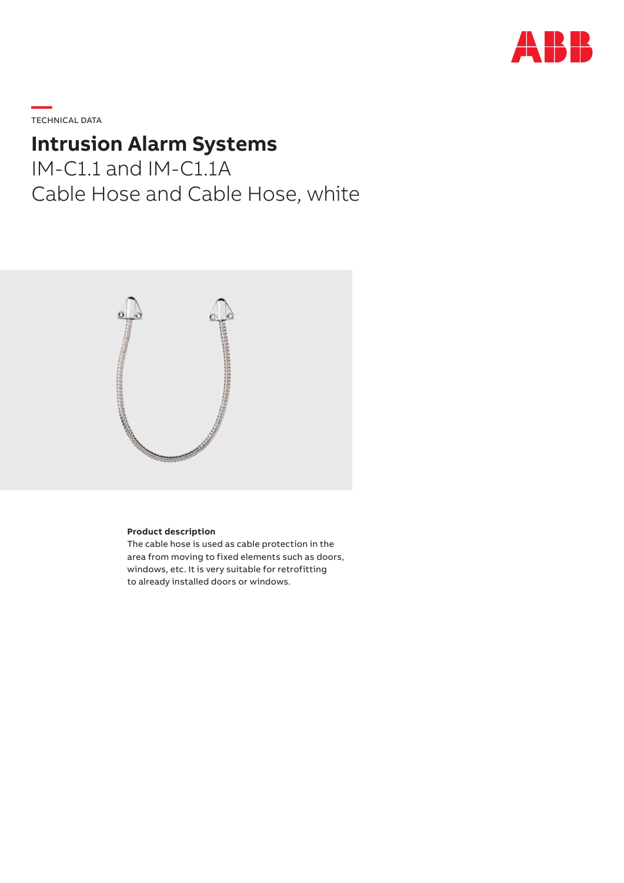

**—**  TECHNICAL DATA

## **Intrusion Alarm Systems**

IM-C1.1 and IM-C1.1A Cable Hose and Cable Hose, white



## **Product description**

The cable hose is used as cable protection in the area from moving to fixed elements such as doors, windows, etc. It is very suitable for retrofitting to already installed doors or windows.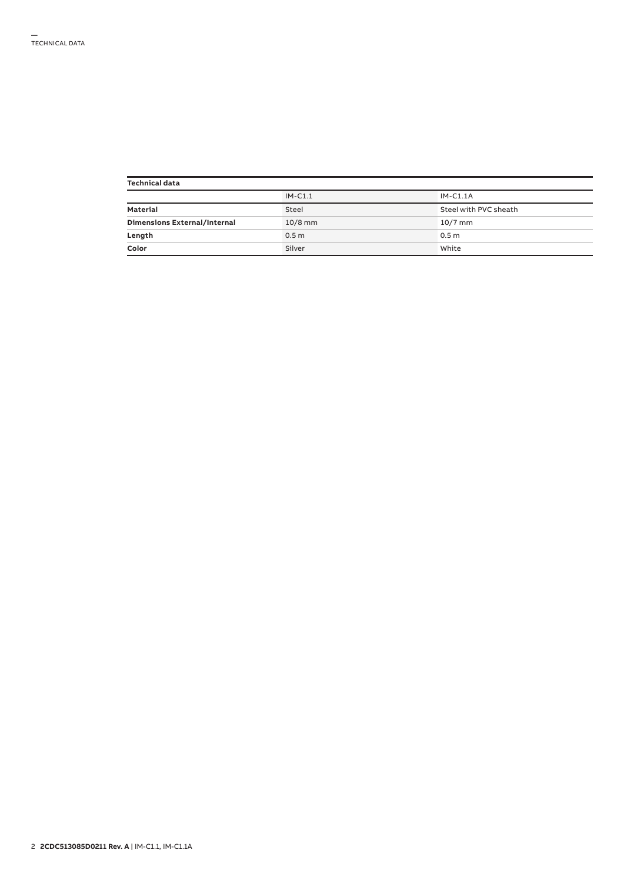| <b>Technical data</b>        |                  |                       |  |  |  |
|------------------------------|------------------|-----------------------|--|--|--|
|                              | $IM-C1.1$        | $IM-C1.1A$            |  |  |  |
| Material                     | Steel            | Steel with PVC sheath |  |  |  |
| Dimensions External/Internal | $10/8$ mm        | $10/7$ mm             |  |  |  |
| Length                       | 0.5 <sub>m</sub> | 0.5 <sub>m</sub>      |  |  |  |
| Color                        | Silver           | White                 |  |  |  |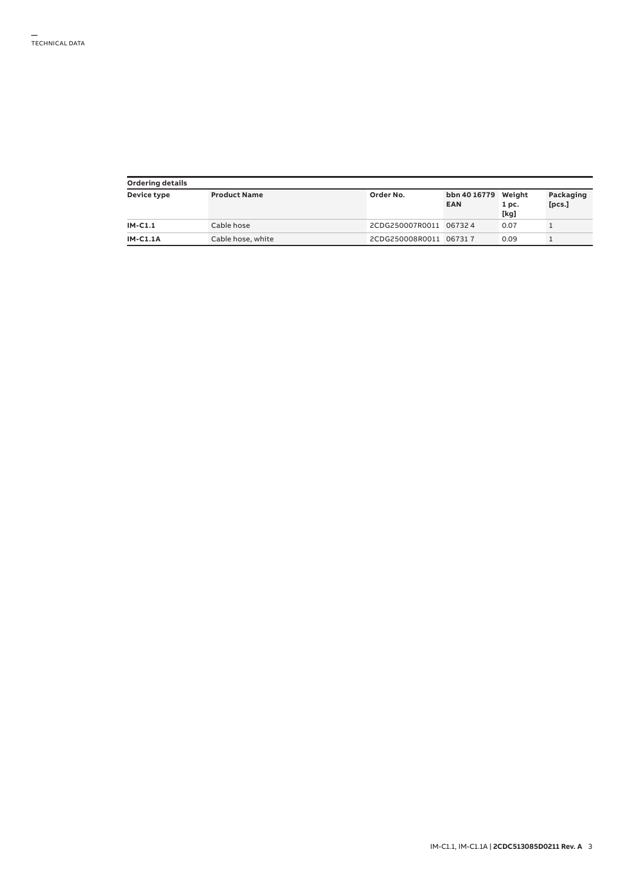| Ordering details |                     |                        |                                   |                          |                     |  |  |
|------------------|---------------------|------------------------|-----------------------------------|--------------------------|---------------------|--|--|
| Device type      | <b>Product Name</b> | Order No.              | bbn 40 16779 Weight<br><b>EAN</b> | 1 <sub>pc.</sub><br>[kg] | Packaging<br>[pcs.] |  |  |
| IM-C1.1          | Cable hose          | 2CDG250007R0011 067324 |                                   | 0.07                     |                     |  |  |
| <b>IM-C1.1A</b>  | Cable hose, white   | 2CDG250008R0011 067317 |                                   | 0.09                     |                     |  |  |